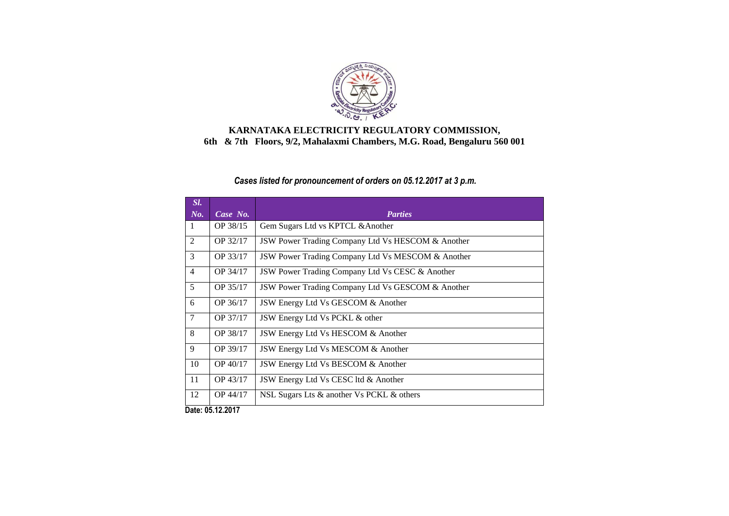

### **KARNATAKA ELECTRICITY REGULATORY COMMISSION, 6th & 7th Floors, 9/2, Mahalaxmi Chambers, M.G. Road, Bengaluru 560 001**

## *Cases listed for pronouncement of orders on 05.12.2017 at 3 p.m.*

| Sl.            |             |                                                              |
|----------------|-------------|--------------------------------------------------------------|
| No.            | Case No.    | <b>Parties</b>                                               |
| $\mathbf{1}$   | OP 38/15    | Gem Sugars Ltd vs KPTCL & Another                            |
| 2              | OP 32/17    | <b>JSW Power Trading Company Ltd Vs HESCOM &amp; Another</b> |
| 3              | OP 33/17    | JSW Power Trading Company Ltd Vs MESCOM & Another            |
| $\overline{4}$ | OP 34/17    | <b>JSW Power Trading Company Ltd Vs CESC &amp; Another</b>   |
| 5              | OP 35/17    | JSW Power Trading Company Ltd Vs GESCOM & Another            |
| 6              | OP 36/17    | JSW Energy Ltd Vs GESCOM & Another                           |
| $\overline{7}$ | OP 37/17    | JSW Energy Ltd Vs PCKL & other                               |
| 8              | OP 38/17    | JSW Energy Ltd Vs HESCOM & Another                           |
| 9              | OP 39/17    | JSW Energy Ltd Vs MESCOM & Another                           |
| 10             | OP 40/17    | JSW Energy Ltd Vs BESCOM & Another                           |
| 11             | OP 43/17    | JSW Energy Ltd Vs CESC ltd & Another                         |
| 12             | OP 44/17    | NSL Sugars Lts & another Vs PCKL & others                    |
| - -            | 85 18 88 19 |                                                              |

**Date: 05.12.2017**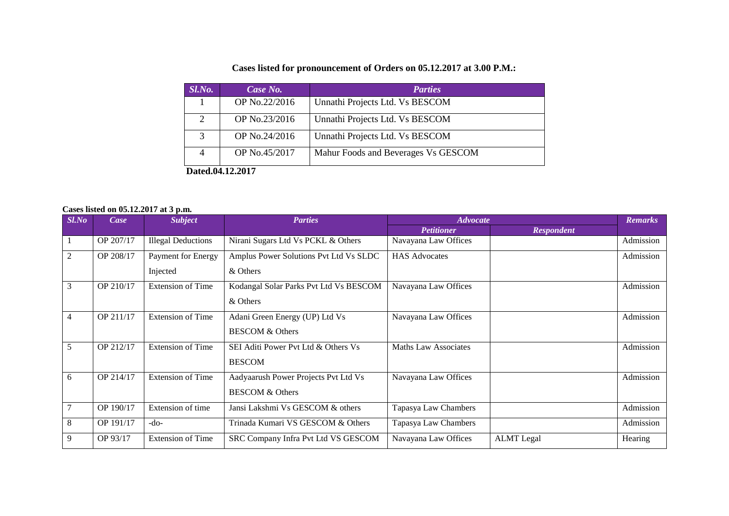# **Cases listed for pronouncement of Orders on 05.12.2017 at 3.00 P.M.:**

| $Sl$ . <i>No.</i>           | Case No.      | <b>Parties</b>                      |  |  |
|-----------------------------|---------------|-------------------------------------|--|--|
|                             | OP No.22/2016 | Unnathi Projects Ltd. Vs BESCOM     |  |  |
| $\mathcal{D}_{\mathcal{L}}$ | OP No.23/2016 | Unnathi Projects Ltd. Vs BESCOM     |  |  |
| 3                           | OP No.24/2016 | Unnathi Projects Ltd. Vs BESCOM     |  |  |
| 4                           | OP No.45/2017 | Mahur Foods and Beverages Vs GESCOM |  |  |
| Dated.04.12.2017            |               |                                     |  |  |

### **Cases listed on 05.12.2017 at 3 p.m.**

| Sl. No         | Case      | <b>Subject</b>            | <b>Parties</b>                         | <b>Advocate</b>      |                   | <b>Remarks</b> |
|----------------|-----------|---------------------------|----------------------------------------|----------------------|-------------------|----------------|
|                |           |                           |                                        | <b>Petitioner</b>    | <b>Respondent</b> |                |
|                | OP 207/17 | <b>Illegal Deductions</b> | Nirani Sugars Ltd Vs PCKL & Others     | Navayana Law Offices |                   | Admission      |
| 2              | OP 208/17 | Payment for Energy        | Amplus Power Solutions Pvt Ltd Vs SLDC | <b>HAS Advocates</b> |                   | Admission      |
|                |           | Injected                  | & Others                               |                      |                   |                |
| 3              | OP 210/17 | <b>Extension of Time</b>  | Kodangal Solar Parks Pvt Ltd Vs BESCOM | Navayana Law Offices |                   | Admission      |
|                |           |                           | & Others                               |                      |                   |                |
| $\overline{4}$ | OP 211/17 | <b>Extension of Time</b>  | Adani Green Energy (UP) Ltd Vs         | Navayana Law Offices |                   | Admission      |
|                |           |                           | <b>BESCOM &amp; Others</b>             |                      |                   |                |
| 5              | OP 212/17 | <b>Extension of Time</b>  | SEI Aditi Power Pvt Ltd & Others Vs    | Maths Law Associates |                   | Admission      |
|                |           |                           | <b>BESCOM</b>                          |                      |                   |                |
| 6              | OP 214/17 | <b>Extension of Time</b>  | Aadyaarush Power Projects Pvt Ltd Vs   | Navayana Law Offices |                   | Admission      |
|                |           |                           | <b>BESCOM &amp; Others</b>             |                      |                   |                |
| $\overline{7}$ | OP 190/17 | Extension of time         | Jansi Lakshmi Vs GESCOM & others       | Tapasya Law Chambers |                   | Admission      |
| 8              | OP 191/17 | $-do-$                    | Trinada Kumari VS GESCOM & Others      | Tapasya Law Chambers |                   | Admission      |
| 9              | OP 93/17  | <b>Extension of Time</b>  | SRC Company Infra Pvt Ltd VS GESCOM    | Navayana Law Offices | <b>ALMT</b> Legal | Hearing        |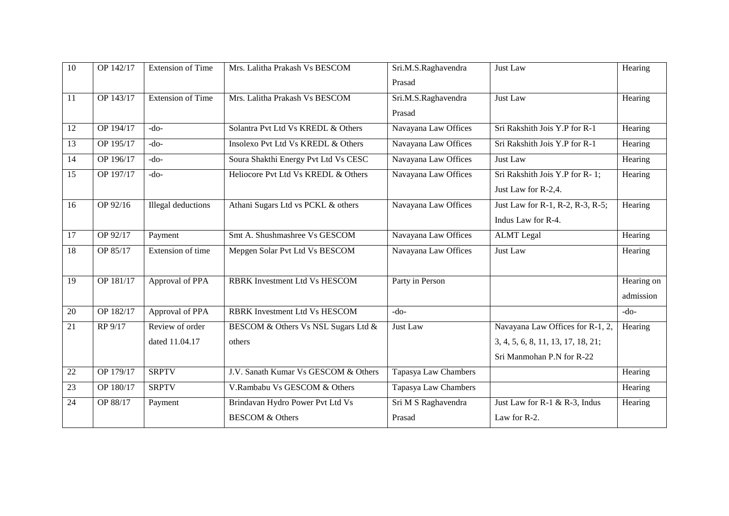| $\overline{10}$ | OP 142/17 | <b>Extension of Time</b>  | Mrs. Lalitha Prakash Vs BESCOM       | Sri.M.S.Raghavendra  | Just Law                           | Hearing    |
|-----------------|-----------|---------------------------|--------------------------------------|----------------------|------------------------------------|------------|
|                 |           |                           |                                      | Prasad               |                                    |            |
| 11              | OP 143/17 | <b>Extension of Time</b>  | Mrs. Lalitha Prakash Vs BESCOM       | Sri.M.S.Raghavendra  | Just Law                           | Hearing    |
|                 |           |                           |                                      | Prasad               |                                    |            |
| 12              | OP 194/17 | $-do-$                    | Solantra Pvt Ltd Vs KREDL & Others   | Navayana Law Offices | Sri Rakshith Jois Y.P for R-1      | Hearing    |
| 13              | OP 195/17 | $-do-$                    | Insolexo Pvt Ltd Vs KREDL & Others   | Navayana Law Offices | Sri Rakshith Jois Y.P for R-1      | Hearing    |
| 14              | OP 196/17 | $-do-$                    | Soura Shakthi Energy Pvt Ltd Vs CESC | Navayana Law Offices | Just Law                           | Hearing    |
| 15              | OP 197/17 | $-do-$                    | Heliocore Pvt Ltd Vs KREDL & Others  | Navayana Law Offices | Sri Rakshith Jois Y.P for R-1;     | Hearing    |
|                 |           |                           |                                      |                      | Just Law for R-2,4.                |            |
| 16              | OP 92/16  | <b>Illegal</b> deductions | Athani Sugars Ltd vs PCKL & others   | Navayana Law Offices | Just Law for R-1, R-2, R-3, R-5;   | Hearing    |
|                 |           |                           |                                      |                      | Indus Law for R-4.                 |            |
| 17              | OP 92/17  | Payment                   | Smt A. Shushmashree Vs GESCOM        | Navayana Law Offices | <b>ALMT</b> Legal                  | Hearing    |
| 18              | OP 85/17  | Extension of time         | Mepgen Solar Pvt Ltd Vs BESCOM       | Navayana Law Offices | Just Law                           | Hearing    |
|                 |           |                           |                                      |                      |                                    |            |
| 19              | OP 181/17 | Approval of PPA           | RBRK Investment Ltd Vs HESCOM        | Party in Person      |                                    | Hearing on |
|                 |           |                           |                                      |                      |                                    | admission  |
| 20              | OP 182/17 | Approval of PPA           | <b>RBRK</b> Investment Ltd Vs HESCOM | $-do-$               |                                    | $-do-$     |
| 21              | RP 9/17   | Review of order           | BESCOM & Others Vs NSL Sugars Ltd &  | Just Law             | Navayana Law Offices for R-1, 2,   | Hearing    |
|                 |           | dated 11.04.17            | others                               |                      | 3, 4, 5, 6, 8, 11, 13, 17, 18, 21; |            |
|                 |           |                           |                                      |                      | Sri Manmohan P.N for R-22          |            |
| 22              | OP 179/17 | <b>SRPTV</b>              | J.V. Sanath Kumar Vs GESCOM & Others | Tapasya Law Chambers |                                    | Hearing    |
| 23              | OP 180/17 | <b>SRPTV</b>              | V.Rambabu Vs GESCOM & Others         | Tapasya Law Chambers |                                    | Hearing    |
| 24              | OP 88/17  | Payment                   | Brindavan Hydro Power Pvt Ltd Vs     | Sri M S Raghavendra  | Just Law for R-1 & R-3, Indus      | Hearing    |
|                 |           |                           | <b>BESCOM &amp; Others</b>           | Prasad               | Law for R-2.                       |            |